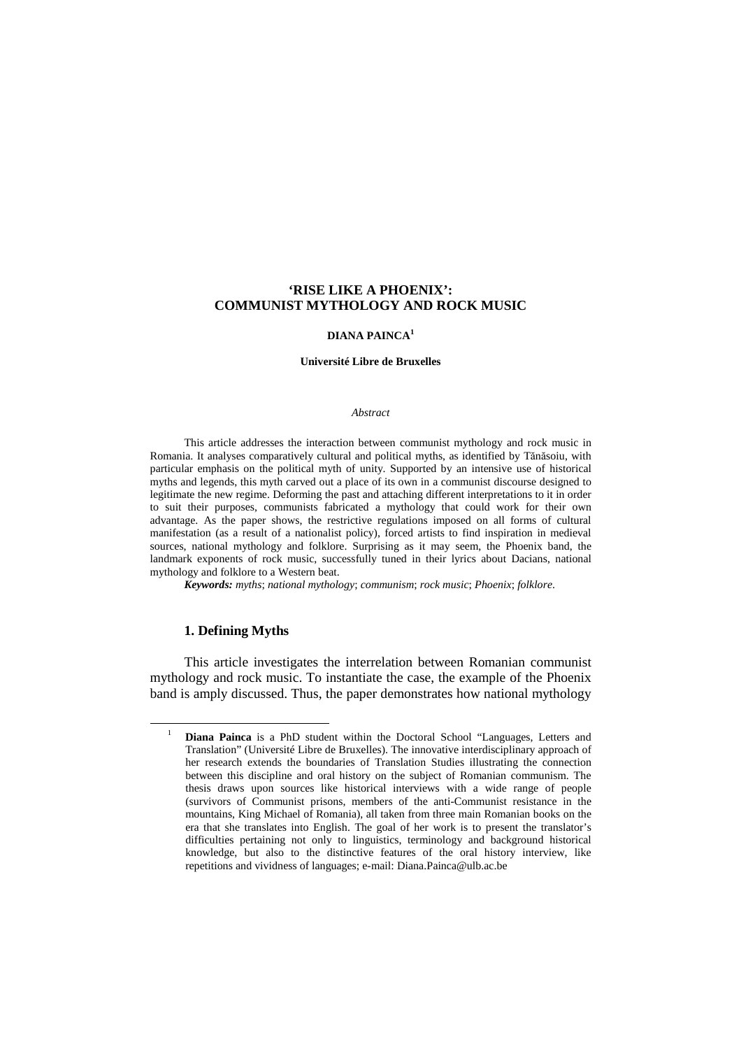# **'RISE LIKE A PHOENIX': COMMUNIST MYTHOLOGY AND ROCK MUSIC**

### **DIANA PAINCA<sup>1</sup>**

#### **Université Libre de Bruxelles**

#### *Abstract*

This article addresses the interaction between communist mythology and rock music in Romania. It analyses comparatively cultural and political myths, as identified by Tănăsoiu, with particular emphasis on the political myth of unity. Supported by an intensive use of historical myths and legends, this myth carved out a place of its own in a communist discourse designed to legitimate the new regime. Deforming the past and attaching different interpretations to it in order to suit their purposes, communists fabricated a mythology that could work for their own advantage. As the paper shows, the restrictive regulations imposed on all forms of cultural manifestation (as a result of a nationalist policy), forced artists to find inspiration in medieval sources, national mythology and folklore. Surprising as it may seem, the Phoenix band, the landmark exponents of rock music, successfully tuned in their lyrics about Dacians, national mythology and folklore to a Western beat.

*Keywords: myths*; *national mythology*; *communism*; *rock music*; *Phoenix*; *folklore*.

# **1. Defining Myths**

 $\overline{a}$ 

This article investigates the interrelation between Romanian communist mythology and rock music. To instantiate the case, the example of the Phoenix band is amply discussed. Thus, the paper demonstrates how national mythology

<sup>1</sup> **Diana Painca** is a PhD student within the Doctoral School "Languages, Letters and Translation" (Université Libre de Bruxelles). The innovative interdisciplinary approach of her research extends the boundaries of Translation Studies illustrating the connection between this discipline and oral history on the subject of Romanian communism. The thesis draws upon sources like historical interviews with a wide range of people (survivors of Communist prisons, members of the anti-Communist resistance in the mountains, King Michael of Romania), all taken from three main Romanian books on the era that she translates into English. The goal of her work is to present the translator's difficulties pertaining not only to linguistics, terminology and background historical knowledge, but also to the distinctive features of the oral history interview, like repetitions and vividness of languages; e-mail: Diana.Painca@ulb.ac.be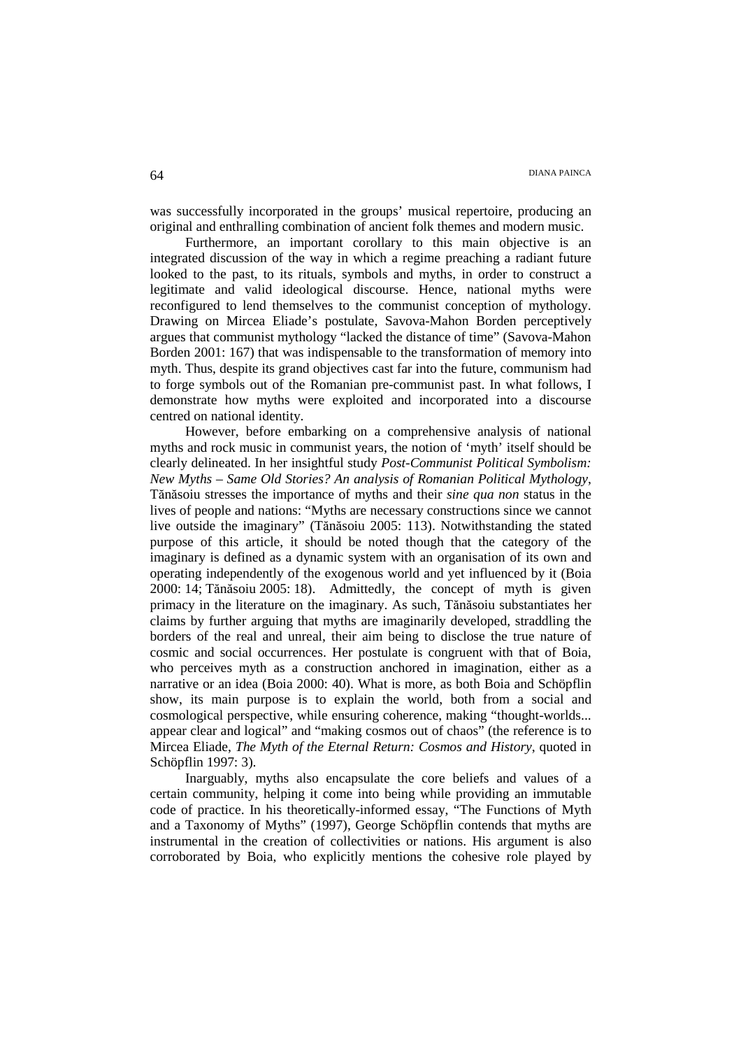was successfully incorporated in the groups' musical repertoire, producing an original and enthralling combination of ancient folk themes and modern music.

Furthermore, an important corollary to this main objective is an integrated discussion of the way in which a regime preaching a radiant future looked to the past, to its rituals, symbols and myths, in order to construct a legitimate and valid ideological discourse. Hence, national myths were reconfigured to lend themselves to the communist conception of mythology. Drawing on Mircea Eliade's postulate, Savova-Mahon Borden perceptively argues that communist mythology "lacked the distance of time" (Savova-Mahon Borden 2001: 167) that was indispensable to the transformation of memory into myth. Thus, despite its grand objectives cast far into the future, communism had to forge symbols out of the Romanian pre-communist past. In what follows, I demonstrate how myths were exploited and incorporated into a discourse centred on national identity.

However, before embarking on a comprehensive analysis of national myths and rock music in communist years, the notion of 'myth' itself should be clearly delineated. In her insightful study *Post-Communist Political Symbolism: New Myths – Same Old Stories? An analysis of Romanian Political Mythology*, Tănăsoiu stresses the importance of myths and their *sine qua non* status in the lives of people and nations: "Myths are necessary constructions since we cannot live outside the imaginary" (Tănăsoiu 2005: 113). Notwithstanding the stated purpose of this article, it should be noted though that the category of the imaginary is defined as a dynamic system with an organisation of its own and operating independently of the exogenous world and yet influenced by it (Boia 2000: 14; Tănăsoiu 2005: 18). Admittedly, the concept of myth is given primacy in the literature on the imaginary. As such, Tănăsoiu substantiates her claims by further arguing that myths are imaginarily developed, straddling the borders of the real and unreal, their aim being to disclose the true nature of cosmic and social occurrences. Her postulate is congruent with that of Boia, who perceives myth as a construction anchored in imagination, either as a narrative or an idea (Boia 2000: 40). What is more, as both Boia and Schöpflin show, its main purpose is to explain the world, both from a social and cosmological perspective, while ensuring coherence, making "thought-worlds... appear clear and logical" and "making cosmos out of chaos" (the reference is to Mircea Eliade, *The Myth of the Eternal Return: Cosmos and History*, quoted in Schöpflin 1997: 3).

Inarguably, myths also encapsulate the core beliefs and values of a certain community, helping it come into being while providing an immutable code of practice. In his theoretically-informed essay, "The Functions of Myth and a Taxonomy of Myths" (1997), George Schöpflin contends that myths are instrumental in the creation of collectivities or nations. His argument is also corroborated by Boia, who explicitly mentions the cohesive role played by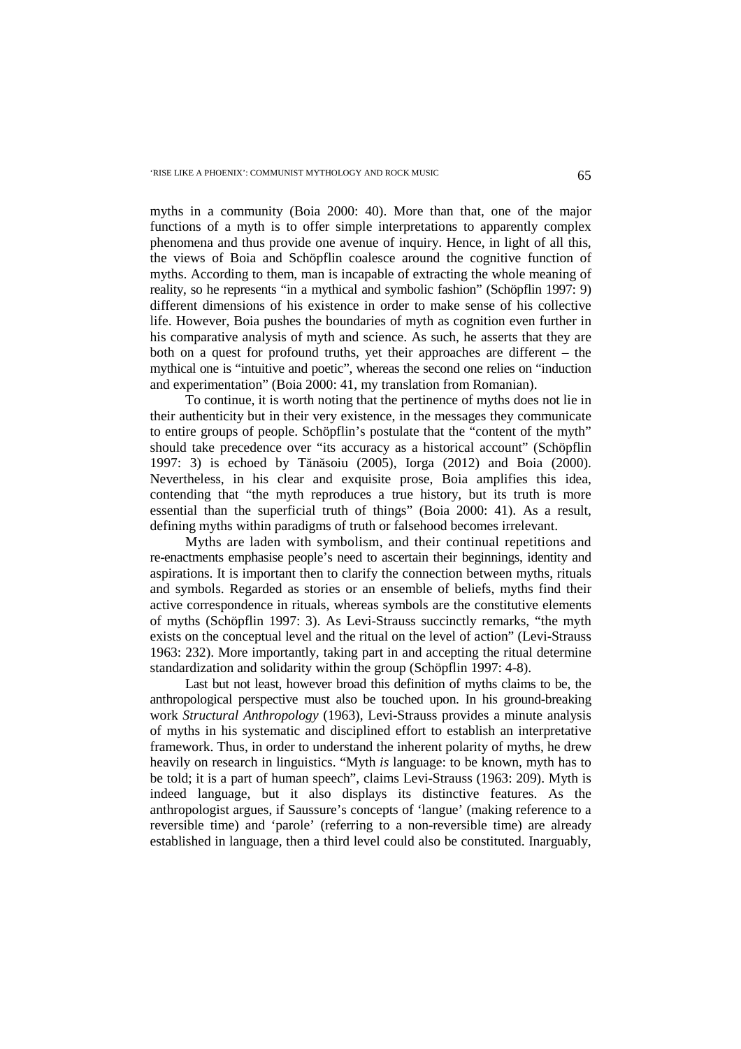myths in a community (Boia 2000: 40). More than that, one of the major functions of a myth is to offer simple interpretations to apparently complex phenomena and thus provide one avenue of inquiry. Hence, in light of all this, the views of Boia and Schöpflin coalesce around the cognitive function of myths. According to them, man is incapable of extracting the whole meaning of reality, so he represents "in a mythical and symbolic fashion" (Schöpflin 1997: 9) different dimensions of his existence in order to make sense of his collective life. However, Boia pushes the boundaries of myth as cognition even further in his comparative analysis of myth and science. As such, he asserts that they are both on a quest for profound truths, yet their approaches are different – the mythical one is "intuitive and poetic", whereas the second one relies on "induction and experimentation" (Boia 2000: 41, my translation from Romanian).

To continue, it is worth noting that the pertinence of myths does not lie in their authenticity but in their very existence, in the messages they communicate to entire groups of people. Schöpflin's postulate that the "content of the myth" should take precedence over "its accuracy as a historical account" (Schöpflin 1997: 3) is echoed by Tănăsoiu (2005), Iorga (2012) and Boia (2000). Nevertheless, in his clear and exquisite prose, Boia amplifies this idea, contending that "the myth reproduces a true history, but its truth is more essential than the superficial truth of things" (Boia 2000: 41). As a result, defining myths within paradigms of truth or falsehood becomes irrelevant.

Myths are laden with symbolism, and their continual repetitions and re-enactments emphasise people's need to ascertain their beginnings, identity and aspirations. It is important then to clarify the connection between myths, rituals and symbols. Regarded as stories or an ensemble of beliefs, myths find their active correspondence in rituals, whereas symbols are the constitutive elements of myths (Schöpflin 1997: 3). As Levi-Strauss succinctly remarks, "the myth exists on the conceptual level and the ritual on the level of action" (Levi-Strauss 1963: 232). More importantly, taking part in and accepting the ritual determine standardization and solidarity within the group (Schöpflin 1997: 4-8).

Last but not least, however broad this definition of myths claims to be, the anthropological perspective must also be touched upon. In his ground-breaking work *Structural Anthropology* (1963), Levi-Strauss provides a minute analysis of myths in his systematic and disciplined effort to establish an interpretative framework. Thus, in order to understand the inherent polarity of myths, he drew heavily on research in linguistics. "Myth *is* language: to be known, myth has to be told; it is a part of human speech", claims Levi-Strauss (1963: 209). Myth is indeed language, but it also displays its distinctive features. As the anthropologist argues, if Saussure's concepts of 'langue' (making reference to a reversible time) and 'parole' (referring to a non-reversible time) are already established in language, then a third level could also be constituted. Inarguably,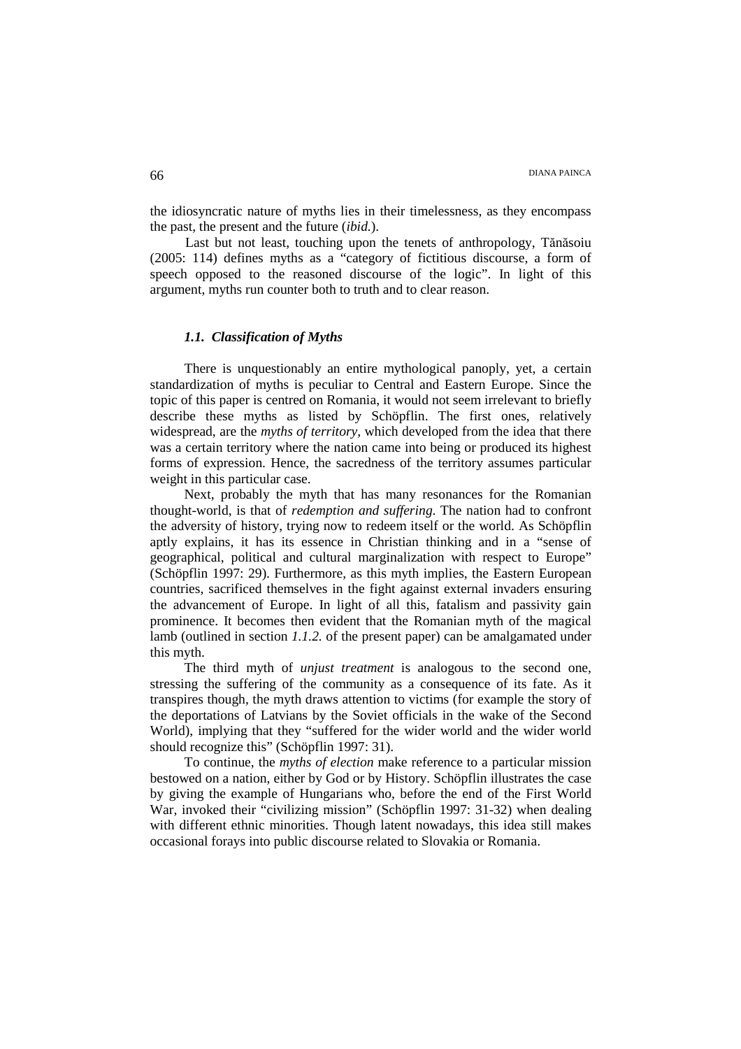the idiosyncratic nature of myths lies in their timelessness, as they encompass the past, the present and the future (*ibid.*).

Last but not least, touching upon the tenets of anthropology, Tănăsoiu (2005: 114) defines myths as a "category of fictitious discourse, a form of speech opposed to the reasoned discourse of the logic". In light of this argument, myths run counter both to truth and to clear reason.

## *1.1. Classification of Myths*

There is unquestionably an entire mythological panoply, yet, a certain standardization of myths is peculiar to Central and Eastern Europe. Since the topic of this paper is centred on Romania, it would not seem irrelevant to briefly describe these myths as listed by Schöpflin. The first ones, relatively widespread, are the *myths of territory*, which developed from the idea that there was a certain territory where the nation came into being or produced its highest forms of expression. Hence, the sacredness of the territory assumes particular weight in this particular case.

Next, probably the myth that has many resonances for the Romanian thought-world, is that of *redemption and suffering*. The nation had to confront the adversity of history, trying now to redeem itself or the world. As Schöpflin aptly explains, it has its essence in Christian thinking and in a "sense of geographical, political and cultural marginalization with respect to Europe" (Schöpflin 1997: 29). Furthermore, as this myth implies, the Eastern European countries, sacrificed themselves in the fight against external invaders ensuring the advancement of Europe. In light of all this, fatalism and passivity gain prominence. It becomes then evident that the Romanian myth of the magical lamb (outlined in section *1.1.2.* of the present paper) can be amalgamated under this myth.

The third myth of *unjust treatment* is analogous to the second one, stressing the suffering of the community as a consequence of its fate. As it transpires though, the myth draws attention to victims (for example the story of the deportations of Latvians by the Soviet officials in the wake of the Second World), implying that they "suffered for the wider world and the wider world should recognize this" (Schöpflin 1997: 31).

To continue, the *myths of election* make reference to a particular mission bestowed on a nation, either by God or by History. Schöpflin illustrates the case by giving the example of Hungarians who, before the end of the First World War, invoked their "civilizing mission" (Schöpflin 1997: 31-32) when dealing with different ethnic minorities. Though latent nowadays, this idea still makes occasional forays into public discourse related to Slovakia or Romania.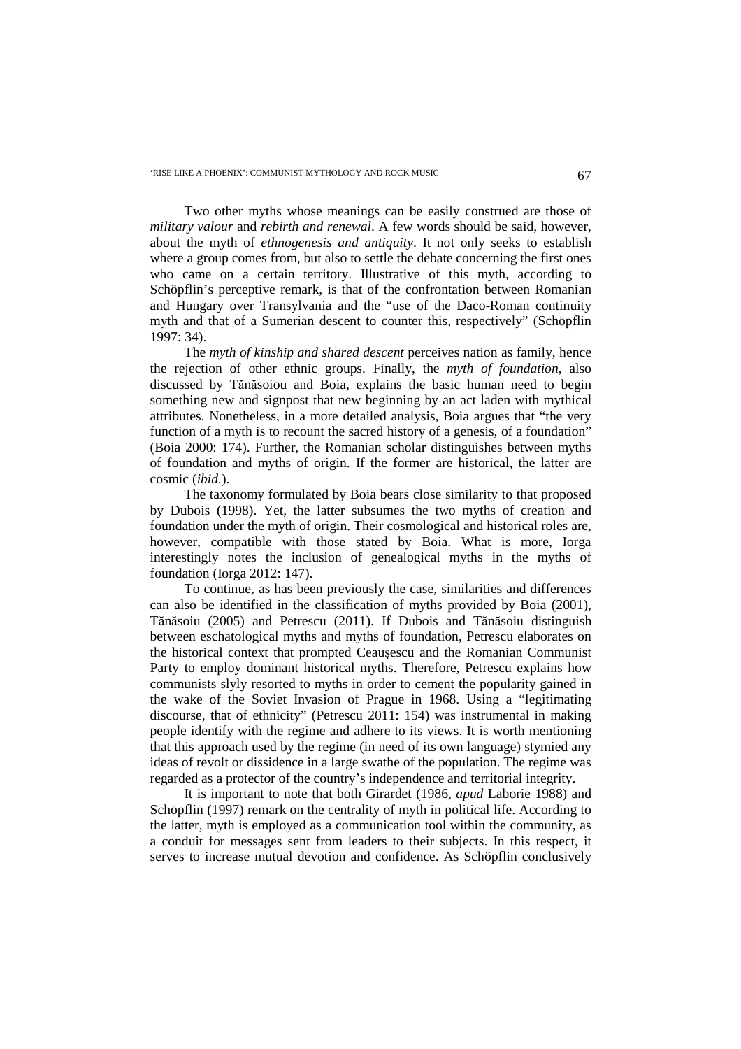Two other myths whose meanings can be easily construed are those of *military valour* and *rebirth and renewal*. A few words should be said, however, about the myth of *ethnogenesis and antiquity*. It not only seeks to establish where a group comes from, but also to settle the debate concerning the first ones who came on a certain territory. Illustrative of this myth, according to Schöpflin's perceptive remark, is that of the confrontation between Romanian and Hungary over Transylvania and the "use of the Daco-Roman continuity myth and that of a Sumerian descent to counter this, respectively" (Schöpflin 1997: 34).

The *myth of kinship and shared descent* perceives nation as family, hence the rejection of other ethnic groups. Finally, the *myth of foundation*, also discussed by Tănăsoiou and Boia, explains the basic human need to begin something new and signpost that new beginning by an act laden with mythical attributes. Nonetheless, in a more detailed analysis, Boia argues that "the very function of a myth is to recount the sacred history of a genesis, of a foundation" (Boia 2000: 174). Further, the Romanian scholar distinguishes between myths of foundation and myths of origin. If the former are historical, the latter are cosmic (*ibid.*).

The taxonomy formulated by Boia bears close similarity to that proposed by Dubois (1998). Yet, the latter subsumes the two myths of creation and foundation under the myth of origin. Their cosmological and historical roles are, however, compatible with those stated by Boia. What is more, Iorga interestingly notes the inclusion of genealogical myths in the myths of foundation (Iorga 2012: 147).

To continue, as has been previously the case, similarities and differences can also be identified in the classification of myths provided by Boia (2001), Tănăsoiu (2005) and Petrescu (2011). If Dubois and Tănăsoiu distinguish between eschatological myths and myths of foundation, Petrescu elaborates on the historical context that prompted Ceauşescu and the Romanian Communist Party to employ dominant historical myths. Therefore, Petrescu explains how communists slyly resorted to myths in order to cement the popularity gained in the wake of the Soviet Invasion of Prague in 1968. Using a "legitimating discourse, that of ethnicity" (Petrescu 2011: 154) was instrumental in making people identify with the regime and adhere to its views. It is worth mentioning that this approach used by the regime (in need of its own language) stymied any ideas of revolt or dissidence in a large swathe of the population. The regime was regarded as a protector of the country's independence and territorial integrity.

It is important to note that both Girardet (1986, *apud* Laborie 1988) and Schöpflin (1997) remark on the centrality of myth in political life. According to the latter, myth is employed as a communication tool within the community, as a conduit for messages sent from leaders to their subjects. In this respect, it serves to increase mutual devotion and confidence. As Schöpflin conclusively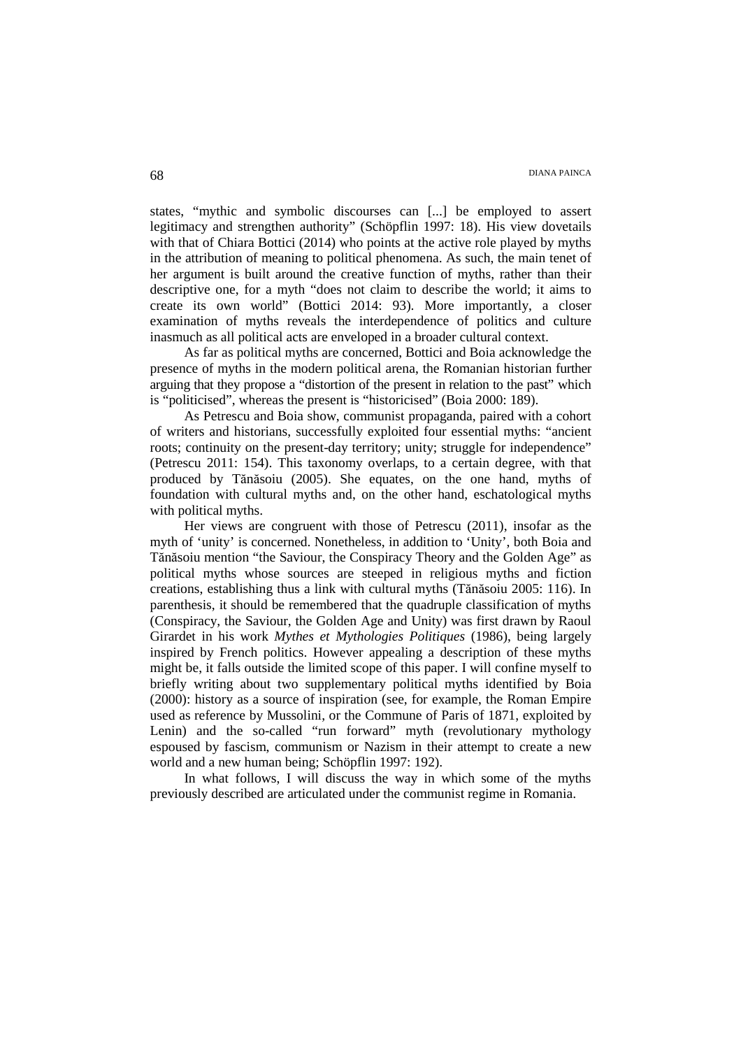states, "mythic and symbolic discourses can [...] be employed to assert legitimacy and strengthen authority" (Schöpflin 1997: 18). His view dovetails with that of Chiara Bottici (2014) who points at the active role played by myths in the attribution of meaning to political phenomena. As such, the main tenet of her argument is built around the creative function of myths, rather than their descriptive one, for a myth "does not claim to describe the world; it aims to create its own world" (Bottici 2014: 93). More importantly, a closer examination of myths reveals the interdependence of politics and culture inasmuch as all political acts are enveloped in a broader cultural context.

As far as political myths are concerned, Bottici and Boia acknowledge the presence of myths in the modern political arena, the Romanian historian further arguing that they propose a "distortion of the present in relation to the past" which is "politicised", whereas the present is "historicised" (Boia 2000: 189).

As Petrescu and Boia show, communist propaganda, paired with a cohort of writers and historians, successfully exploited four essential myths: "ancient roots; continuity on the present-day territory; unity; struggle for independence" (Petrescu 2011: 154). This taxonomy overlaps, to a certain degree, with that produced by Tănăsoiu (2005). She equates, on the one hand, myths of foundation with cultural myths and, on the other hand, eschatological myths with political myths.

Her views are congruent with those of Petrescu (2011), insofar as the myth of 'unity' is concerned. Nonetheless, in addition to 'Unity', both Boia and Tănăsoiu mention "the Saviour, the Conspiracy Theory and the Golden Age" as political myths whose sources are steeped in religious myths and fiction creations, establishing thus a link with cultural myths (Tănăsoiu 2005: 116). In parenthesis, it should be remembered that the quadruple classification of myths (Conspiracy, the Saviour, the Golden Age and Unity) was first drawn by Raoul Girardet in his work *Mythes et Mythologies Politiques* (1986), being largely inspired by French politics. However appealing a description of these myths might be, it falls outside the limited scope of this paper. I will confine myself to briefly writing about two supplementary political myths identified by Boia (2000): history as a source of inspiration (see, for example, the Roman Empire used as reference by Mussolini, or the Commune of Paris of 1871, exploited by Lenin) and the so-called "run forward" myth (revolutionary mythology espoused by fascism, communism or Nazism in their attempt to create a new world and a new human being; Schöpflin 1997: 192).

In what follows, I will discuss the way in which some of the myths previously described are articulated under the communist regime in Romania.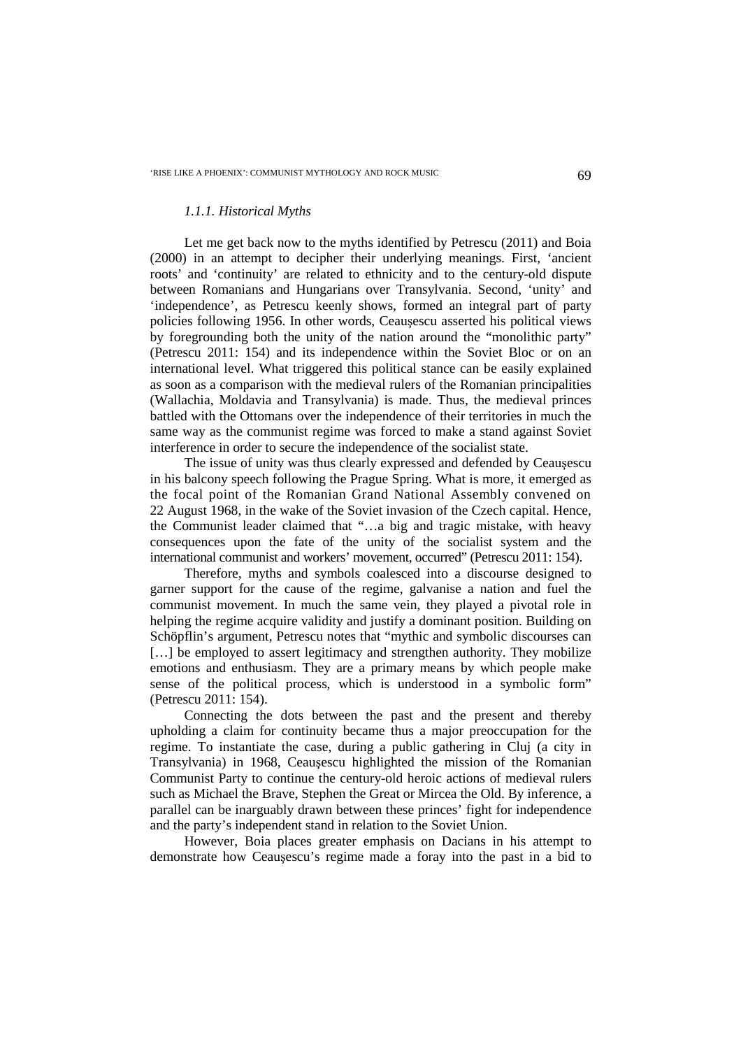### *1.1.1. Historical Myths*

Let me get back now to the myths identified by Petrescu (2011) and Boia (2000) in an attempt to decipher their underlying meanings. First, 'ancient roots' and 'continuity' are related to ethnicity and to the century-old dispute between Romanians and Hungarians over Transylvania. Second, 'unity' and 'independence', as Petrescu keenly shows, formed an integral part of party policies following 1956. In other words, Ceauşescu asserted his political views by foregrounding both the unity of the nation around the "monolithic party" (Petrescu 2011: 154) and its independence within the Soviet Bloc or on an international level. What triggered this political stance can be easily explained as soon as a comparison with the medieval rulers of the Romanian principalities (Wallachia, Moldavia and Transylvania) is made. Thus, the medieval princes battled with the Ottomans over the independence of their territories in much the same way as the communist regime was forced to make a stand against Soviet interference in order to secure the independence of the socialist state.

The issue of unity was thus clearly expressed and defended by Ceauşescu in his balcony speech following the Prague Spring. What is more, it emerged as the focal point of the Romanian Grand National Assembly convened on 22 August 1968, in the wake of the Soviet invasion of the Czech capital. Hence, the Communist leader claimed that "…a big and tragic mistake, with heavy consequences upon the fate of the unity of the socialist system and the international communist and workers' movement, occurred" (Petrescu 2011: 154).

Therefore, myths and symbols coalesced into a discourse designed to garner support for the cause of the regime, galvanise a nation and fuel the communist movement. In much the same vein, they played a pivotal role in helping the regime acquire validity and justify a dominant position. Building on Schöpflin's argument, Petrescu notes that "mythic and symbolic discourses can [...] be employed to assert legitimacy and strengthen authority. They mobilize emotions and enthusiasm. They are a primary means by which people make sense of the political process, which is understood in a symbolic form" (Petrescu 2011: 154).

Connecting the dots between the past and the present and thereby upholding a claim for continuity became thus a major preoccupation for the regime. To instantiate the case, during a public gathering in Cluj (a city in Transylvania) in 1968, Ceauşescu highlighted the mission of the Romanian Communist Party to continue the century-old heroic actions of medieval rulers such as Michael the Brave, Stephen the Great or Mircea the Old. By inference, a parallel can be inarguably drawn between these princes' fight for independence and the party's independent stand in relation to the Soviet Union.

However, Boia places greater emphasis on Dacians in his attempt to demonstrate how Ceauşescu's regime made a foray into the past in a bid to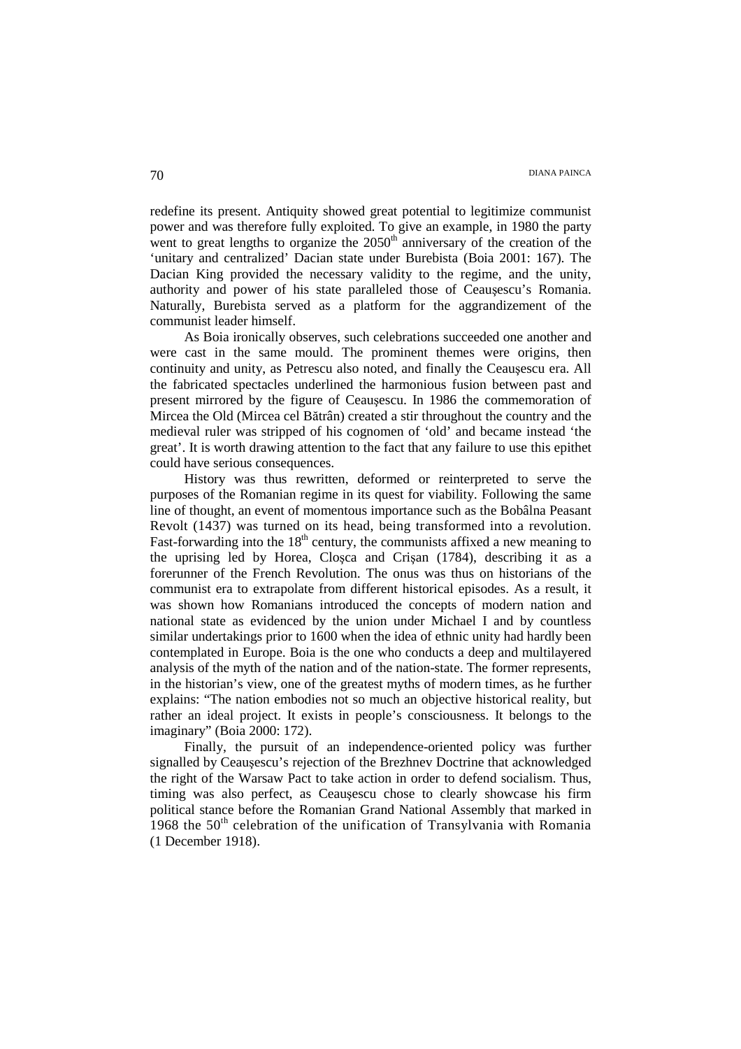redefine its present. Antiquity showed great potential to legitimize communist power and was therefore fully exploited. To give an example, in 1980 the party went to great lengths to organize the  $2050<sup>th</sup>$  anniversary of the creation of the 'unitary and centralized' Dacian state under Burebista (Boia 2001: 167). The Dacian King provided the necessary validity to the regime, and the unity, authority and power of his state paralleled those of Ceauşescu's Romania. Naturally, Burebista served as a platform for the aggrandizement of the communist leader himself.

As Boia ironically observes, such celebrations succeeded one another and were cast in the same mould. The prominent themes were origins, then continuity and unity, as Petrescu also noted, and finally the Ceauşescu era. All the fabricated spectacles underlined the harmonious fusion between past and present mirrored by the figure of Ceauşescu. In 1986 the commemoration of Mircea the Old (Mircea cel Bătrân) created a stir throughout the country and the medieval ruler was stripped of his cognomen of 'old' and became instead 'the great'. It is worth drawing attention to the fact that any failure to use this epithet could have serious consequences.

History was thus rewritten, deformed or reinterpreted to serve the purposes of the Romanian regime in its quest for viability. Following the same line of thought, an event of momentous importance such as the Bobâlna Peasant Revolt (1437) was turned on its head, being transformed into a revolution. Fast-forwarding into the  $18<sup>th</sup>$  century, the communists affixed a new meaning to the uprising led by Horea, Cloşca and Crişan (1784), describing it as a forerunner of the French Revolution. The onus was thus on historians of the communist era to extrapolate from different historical episodes. As a result, it was shown how Romanians introduced the concepts of modern nation and national state as evidenced by the union under Michael I and by countless similar undertakings prior to 1600 when the idea of ethnic unity had hardly been contemplated in Europe. Boia is the one who conducts a deep and multilayered analysis of the myth of the nation and of the nation-state. The former represents, in the historian's view, one of the greatest myths of modern times, as he further explains: "The nation embodies not so much an objective historical reality, but rather an ideal project. It exists in people's consciousness. It belongs to the imaginary" (Boia 2000: 172).

Finally, the pursuit of an independence-oriented policy was further signalled by Ceauşescu's rejection of the Brezhnev Doctrine that acknowledged the right of the Warsaw Pact to take action in order to defend socialism. Thus, timing was also perfect, as Ceauşescu chose to clearly showcase his firm political stance before the Romanian Grand National Assembly that marked in 1968 the  $50<sup>th</sup>$  celebration of the unification of Transylvania with Romania (1 December 1918).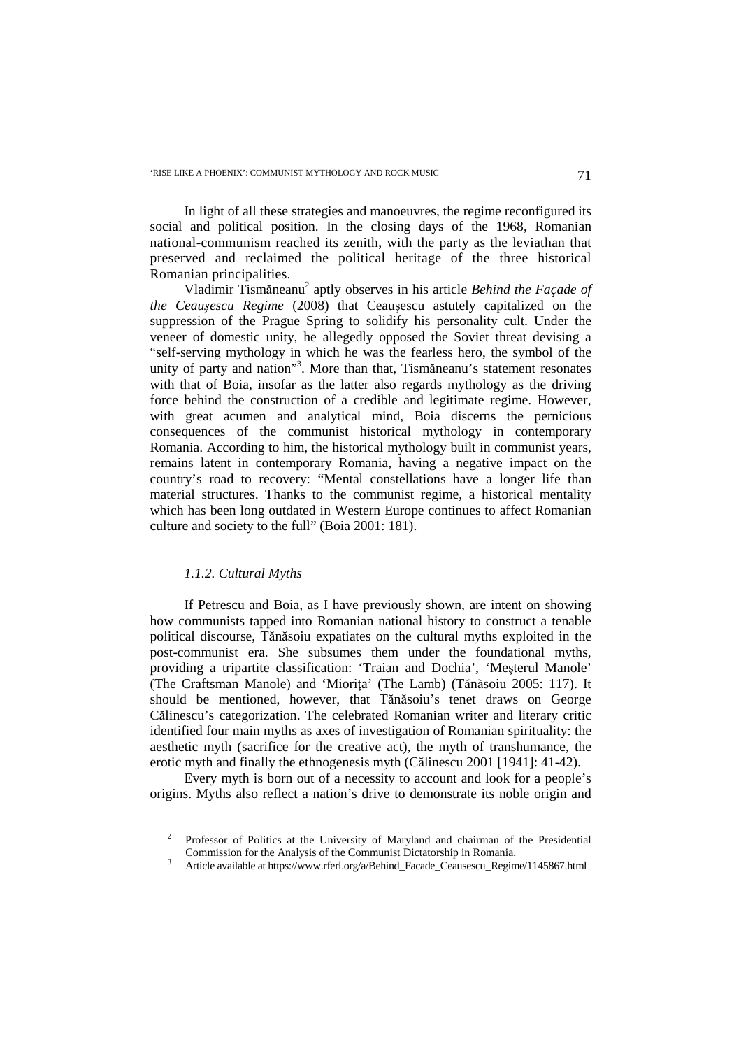In light of all these strategies and manoeuvres, the regime reconfigured its social and political position. In the closing days of the 1968, Romanian national-communism reached its zenith, with the party as the leviathan that preserved and reclaimed the political heritage of the three historical Romanian principalities.

Vladimir Tismăneanu<sup>2</sup> aptly observes in his article *Behind the Façade of the Ceauşescu Regime* (2008) that Ceauşescu astutely capitalized on the suppression of the Prague Spring to solidify his personality cult. Under the veneer of domestic unity, he allegedly opposed the Soviet threat devising a "self-serving mythology in which he was the fearless hero, the symbol of the unity of party and nation"<sup>3</sup>. More than that, Tismăneanu's statement resonates with that of Boia, insofar as the latter also regards mythology as the driving force behind the construction of a credible and legitimate regime. However, with great acumen and analytical mind, Boia discerns the pernicious consequences of the communist historical mythology in contemporary Romania. According to him, the historical mythology built in communist years, remains latent in contemporary Romania, having a negative impact on the country's road to recovery: "Mental constellations have a longer life than material structures. Thanks to the communist regime, a historical mentality which has been long outdated in Western Europe continues to affect Romanian culture and society to the full" (Boia 2001: 181).

### *1.1.2. Cultural Myths*

 $\overline{a}$ 

If Petrescu and Boia, as I have previously shown, are intent on showing how communists tapped into Romanian national history to construct a tenable political discourse, Tănăsoiu expatiates on the cultural myths exploited in the post-communist era. She subsumes them under the foundational myths, providing a tripartite classification: 'Traian and Dochia', 'Meşterul Manole' (The Craftsman Manole) and 'Mioriţa' (The Lamb) (Tănăsoiu 2005: 117). It should be mentioned, however, that Tănăsoiu's tenet draws on George Călinescu's categorization. The celebrated Romanian writer and literary critic identified four main myths as axes of investigation of Romanian spirituality: the aesthetic myth (sacrifice for the creative act), the myth of transhumance, the erotic myth and finally the ethnogenesis myth (Călinescu 2001 [1941]: 41-42).

Every myth is born out of a necessity to account and look for a people's origins. Myths also reflect a nation's drive to demonstrate its noble origin and

<sup>2</sup> Professor of Politics at the University of Maryland and chairman of the Presidential Commission for the Analysis of the Communist Dictatorship in Romania.

<sup>3</sup> Article available at https://www.rferl.org/a/Behind\_Facade\_Ceausescu\_Regime/1145867.html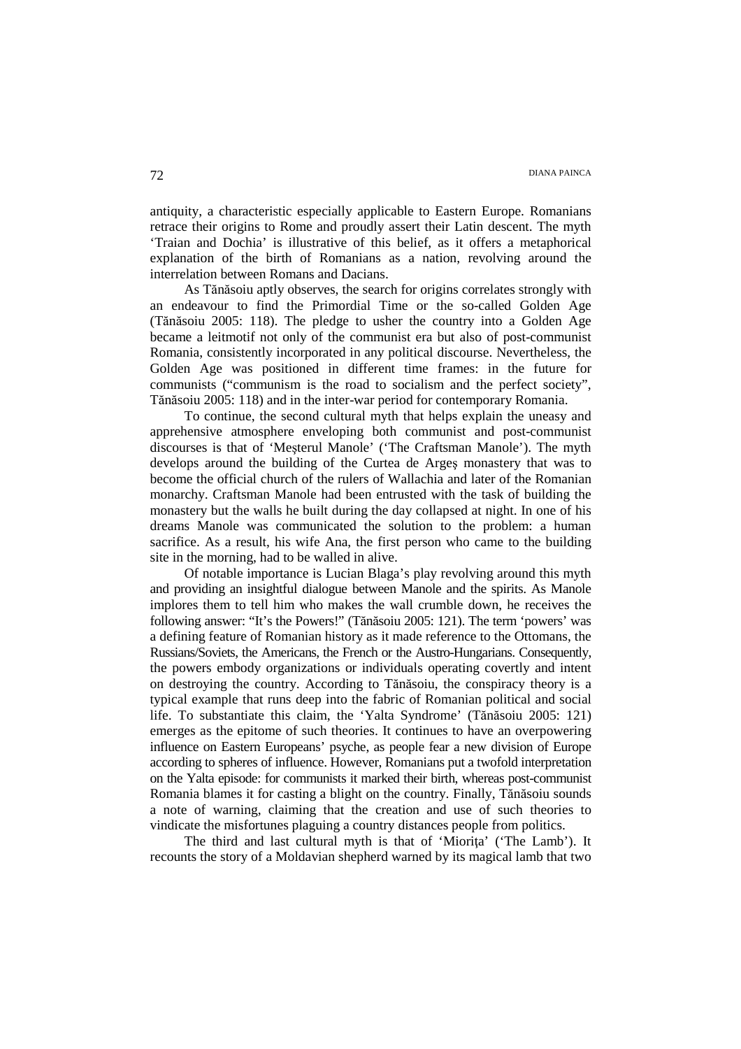antiquity, a characteristic especially applicable to Eastern Europe. Romanians retrace their origins to Rome and proudly assert their Latin descent. The myth 'Traian and Dochia' is illustrative of this belief, as it offers a metaphorical explanation of the birth of Romanians as a nation, revolving around the interrelation between Romans and Dacians.

As Tănăsoiu aptly observes, the search for origins correlates strongly with an endeavour to find the Primordial Time or the so-called Golden Age (Tănăsoiu 2005: 118). The pledge to usher the country into a Golden Age became a leitmotif not only of the communist era but also of post-communist Romania, consistently incorporated in any political discourse. Nevertheless, the Golden Age was positioned in different time frames: in the future for communists ("communism is the road to socialism and the perfect society", Tănăsoiu 2005: 118) and in the inter-war period for contemporary Romania.

To continue, the second cultural myth that helps explain the uneasy and apprehensive atmosphere enveloping both communist and post-communist discourses is that of 'Meşterul Manole' ('The Craftsman Manole'). The myth develops around the building of the Curtea de Argeş monastery that was to become the official church of the rulers of Wallachia and later of the Romanian monarchy. Craftsman Manole had been entrusted with the task of building the monastery but the walls he built during the day collapsed at night. In one of his dreams Manole was communicated the solution to the problem: a human sacrifice. As a result, his wife Ana, the first person who came to the building site in the morning, had to be walled in alive.

Of notable importance is Lucian Blaga's play revolving around this myth and providing an insightful dialogue between Manole and the spirits. As Manole implores them to tell him who makes the wall crumble down, he receives the following answer: "It's the Powers!" (Tănăsoiu 2005: 121). The term 'powers' was a defining feature of Romanian history as it made reference to the Ottomans, the Russians/Soviets, the Americans, the French or the Austro-Hungarians. Consequently, the powers embody organizations or individuals operating covertly and intent on destroying the country. According to Tănăsoiu, the conspiracy theory is a typical example that runs deep into the fabric of Romanian political and social life. To substantiate this claim, the 'Yalta Syndrome' (Tănăsoiu 2005: 121) emerges as the epitome of such theories. It continues to have an overpowering influence on Eastern Europeans' psyche, as people fear a new division of Europe according to spheres of influence. However, Romanians put a twofold interpretation on the Yalta episode: for communists it marked their birth, whereas post-communist Romania blames it for casting a blight on the country. Finally, Tănăsoiu sounds a note of warning, claiming that the creation and use of such theories to vindicate the misfortunes plaguing a country distances people from politics.

The third and last cultural myth is that of 'Miorita' ('The Lamb'). It recounts the story of a Moldavian shepherd warned by its magical lamb that two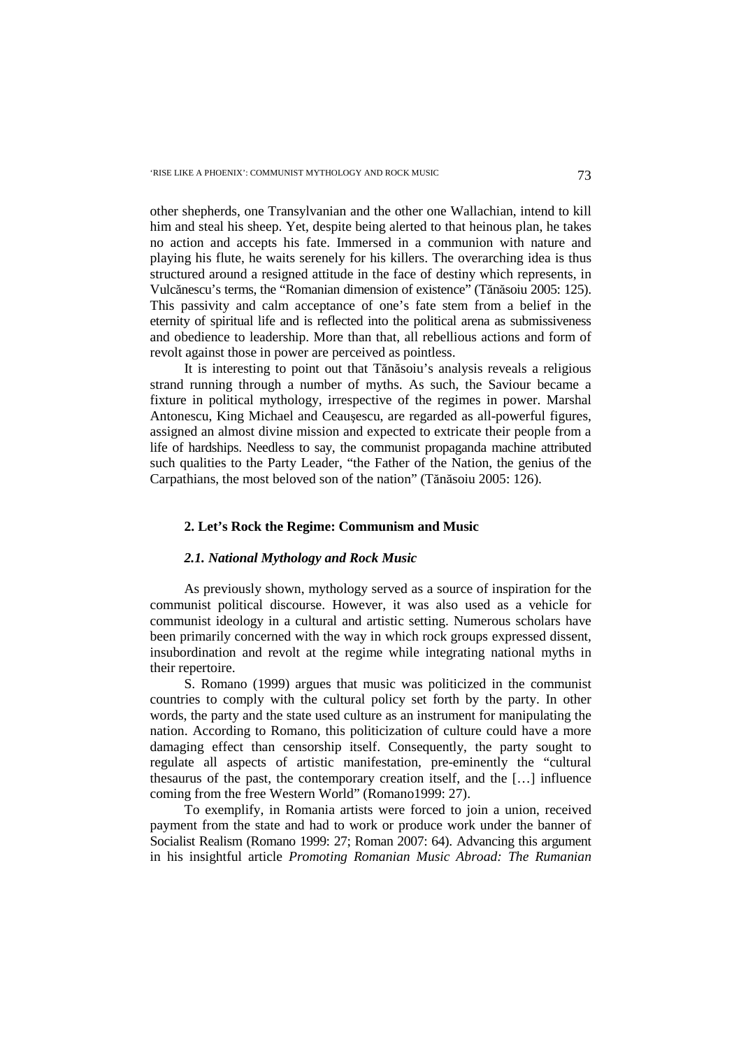other shepherds, one Transylvanian and the other one Wallachian, intend to kill him and steal his sheep. Yet, despite being alerted to that heinous plan, he takes no action and accepts his fate. Immersed in a communion with nature and playing his flute, he waits serenely for his killers. The overarching idea is thus structured around a resigned attitude in the face of destiny which represents, in Vulcănescu's terms, the "Romanian dimension of existence" (Tănăsoiu 2005: 125). This passivity and calm acceptance of one's fate stem from a belief in the eternity of spiritual life and is reflected into the political arena as submissiveness and obedience to leadership. More than that, all rebellious actions and form of revolt against those in power are perceived as pointless.

It is interesting to point out that Tănăsoiu's analysis reveals a religious strand running through a number of myths. As such, the Saviour became a fixture in political mythology, irrespective of the regimes in power. Marshal Antonescu, King Michael and Ceauşescu, are regarded as all-powerful figures, assigned an almost divine mission and expected to extricate their people from a life of hardships. Needless to say, the communist propaganda machine attributed such qualities to the Party Leader, "the Father of the Nation, the genius of the Carpathians, the most beloved son of the nation" (Tănăsoiu 2005: 126).

# **2. Let's Rock the Regime: Communism and Music**

### *2.1. National Mythology and Rock Music*

As previously shown, mythology served as a source of inspiration for the communist political discourse. However, it was also used as a vehicle for communist ideology in a cultural and artistic setting. Numerous scholars have been primarily concerned with the way in which rock groups expressed dissent, insubordination and revolt at the regime while integrating national myths in their repertoire.

S. Romano (1999) argues that music was politicized in the communist countries to comply with the cultural policy set forth by the party. In other words, the party and the state used culture as an instrument for manipulating the nation. According to Romano, this politicization of culture could have a more damaging effect than censorship itself. Consequently, the party sought to regulate all aspects of artistic manifestation, pre-eminently the "cultural thesaurus of the past, the contemporary creation itself, and the […] influence coming from the free Western World" (Romano1999: 27).

To exemplify, in Romania artists were forced to join a union, received payment from the state and had to work or produce work under the banner of Socialist Realism (Romano 1999: 27; Roman 2007: 64). Advancing this argument in his insightful article *Promoting Romanian Music Abroad: The Rumanian*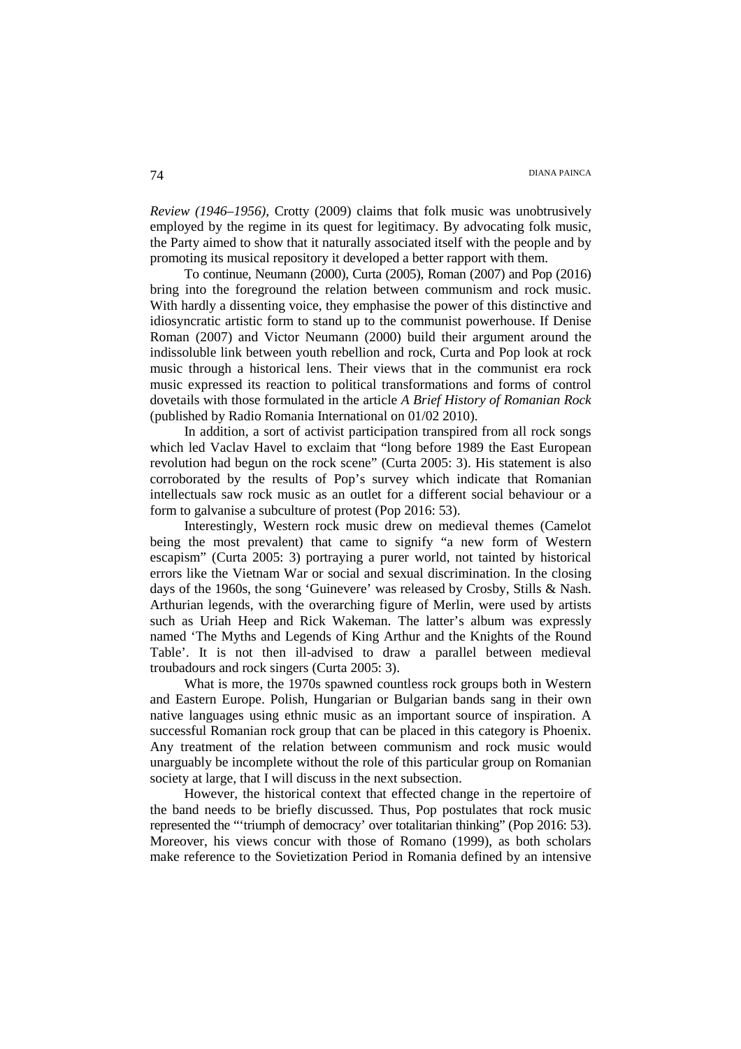*Review (1946–1956)*, Crotty (2009) claims that folk music was unobtrusively employed by the regime in its quest for legitimacy. By advocating folk music, the Party aimed to show that it naturally associated itself with the people and by promoting its musical repository it developed a better rapport with them.

To continue, Neumann (2000), Curta (2005), Roman (2007) and Pop (2016) bring into the foreground the relation between communism and rock music. With hardly a dissenting voice, they emphasise the power of this distinctive and idiosyncratic artistic form to stand up to the communist powerhouse. If Denise Roman (2007) and Victor Neumann (2000) build their argument around the indissoluble link between youth rebellion and rock, Curta and Pop look at rock music through a historical lens. Their views that in the communist era rock music expressed its reaction to political transformations and forms of control dovetails with those formulated in the article *A Brief History of Romanian Rock* (published by Radio Romania International on 01/02 2010).

In addition, a sort of activist participation transpired from all rock songs which led Vaclav Havel to exclaim that "long before 1989 the East European revolution had begun on the rock scene" (Curta 2005: 3). His statement is also corroborated by the results of Pop's survey which indicate that Romanian intellectuals saw rock music as an outlet for a different social behaviour or a form to galvanise a subculture of protest (Pop 2016: 53).

Interestingly, Western rock music drew on medieval themes (Camelot being the most prevalent) that came to signify "a new form of Western escapism" (Curta 2005: 3) portraying a purer world, not tainted by historical errors like the Vietnam War or social and sexual discrimination. In the closing days of the 1960s, the song 'Guinevere' was released by Crosby, Stills & Nash. Arthurian legends, with the overarching figure of Merlin, were used by artists such as Uriah Heep and Rick Wakeman. The latter's album was expressly named 'The Myths and Legends of King Arthur and the Knights of the Round Table'. It is not then ill-advised to draw a parallel between medieval troubadours and rock singers (Curta 2005: 3).

What is more, the 1970s spawned countless rock groups both in Western and Eastern Europe. Polish, Hungarian or Bulgarian bands sang in their own native languages using ethnic music as an important source of inspiration. A successful Romanian rock group that can be placed in this category is Phoenix. Any treatment of the relation between communism and rock music would unarguably be incomplete without the role of this particular group on Romanian society at large, that I will discuss in the next subsection.

However, the historical context that effected change in the repertoire of the band needs to be briefly discussed. Thus, Pop postulates that rock music represented the "'triumph of democracy' over totalitarian thinking" (Pop 2016: 53). Moreover, his views concur with those of Romano (1999), as both scholars make reference to the Sovietization Period in Romania defined by an intensive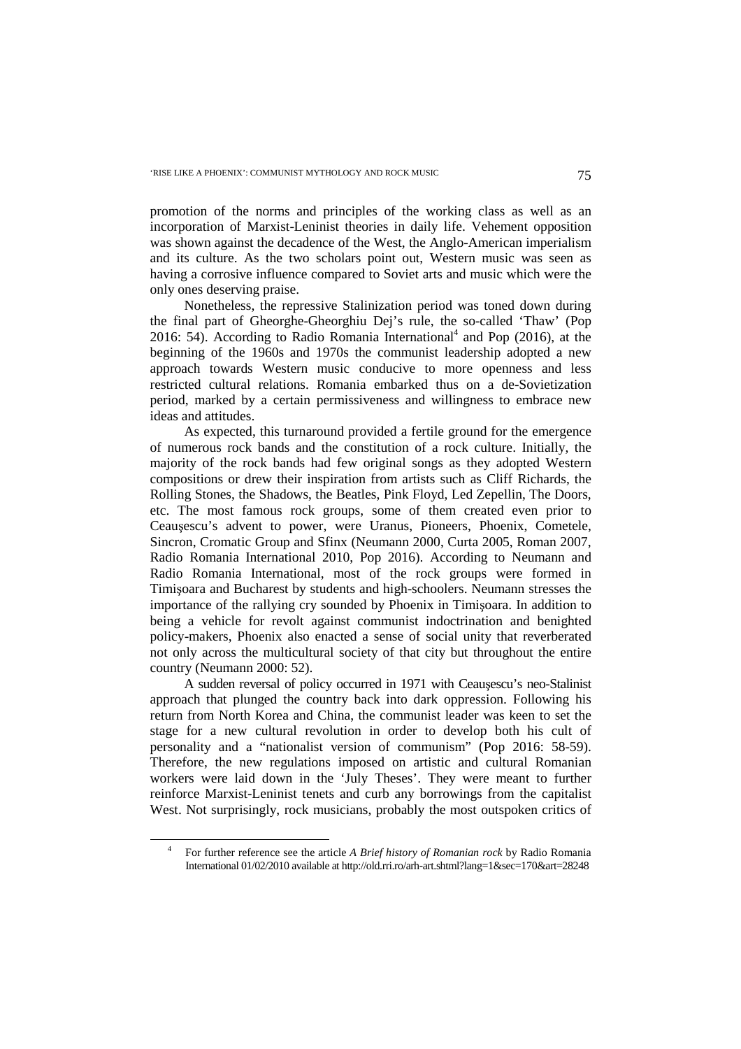promotion of the norms and principles of the working class as well as an incorporation of Marxist-Leninist theories in daily life. Vehement opposition was shown against the decadence of the West, the Anglo-American imperialism and its culture. As the two scholars point out, Western music was seen as having a corrosive influence compared to Soviet arts and music which were the only ones deserving praise.

Nonetheless, the repressive Stalinization period was toned down during the final part of Gheorghe-Gheorghiu Dej's rule, the so-called 'Thaw' (Pop 2016: 54). According to Radio Romania International<sup>4</sup> and Pop (2016), at the beginning of the 1960s and 1970s the communist leadership adopted a new approach towards Western music conducive to more openness and less restricted cultural relations. Romania embarked thus on a de-Sovietization period, marked by a certain permissiveness and willingness to embrace new ideas and attitudes.

As expected, this turnaround provided a fertile ground for the emergence of numerous rock bands and the constitution of a rock culture. Initially, the majority of the rock bands had few original songs as they adopted Western compositions or drew their inspiration from artists such as Cliff Richards, the Rolling Stones, the Shadows, the Beatles, Pink Floyd, Led Zepellin, The Doors, etc. The most famous rock groups, some of them created even prior to Ceauşescu's advent to power, were Uranus, Pioneers, Phoenix, Cometele, Sincron, Cromatic Group and Sfinx (Neumann 2000, Curta 2005, Roman 2007, Radio Romania International 2010, Pop 2016). According to Neumann and Radio Romania International, most of the rock groups were formed in Timişoara and Bucharest by students and high-schoolers. Neumann stresses the importance of the rallying cry sounded by Phoenix in Timişoara. In addition to being a vehicle for revolt against communist indoctrination and benighted policy-makers, Phoenix also enacted a sense of social unity that reverberated not only across the multicultural society of that city but throughout the entire country (Neumann 2000: 52).

A sudden reversal of policy occurred in 1971 with Ceauşescu's neo-Stalinist approach that plunged the country back into dark oppression. Following his return from North Korea and China, the communist leader was keen to set the stage for a new cultural revolution in order to develop both his cult of personality and a "nationalist version of communism" (Pop 2016: 58-59). Therefore, the new regulations imposed on artistic and cultural Romanian workers were laid down in the 'July Theses'. They were meant to further reinforce Marxist-Leninist tenets and curb any borrowings from the capitalist West. Not surprisingly, rock musicians, probably the most outspoken critics of

l

<sup>4</sup> For further reference see the article *A Brief history of Romanian rock* by Radio Romania International 01/02/2010 available at http://old.rri.ro/arh-art.shtml?lang=1&sec=170&art=28248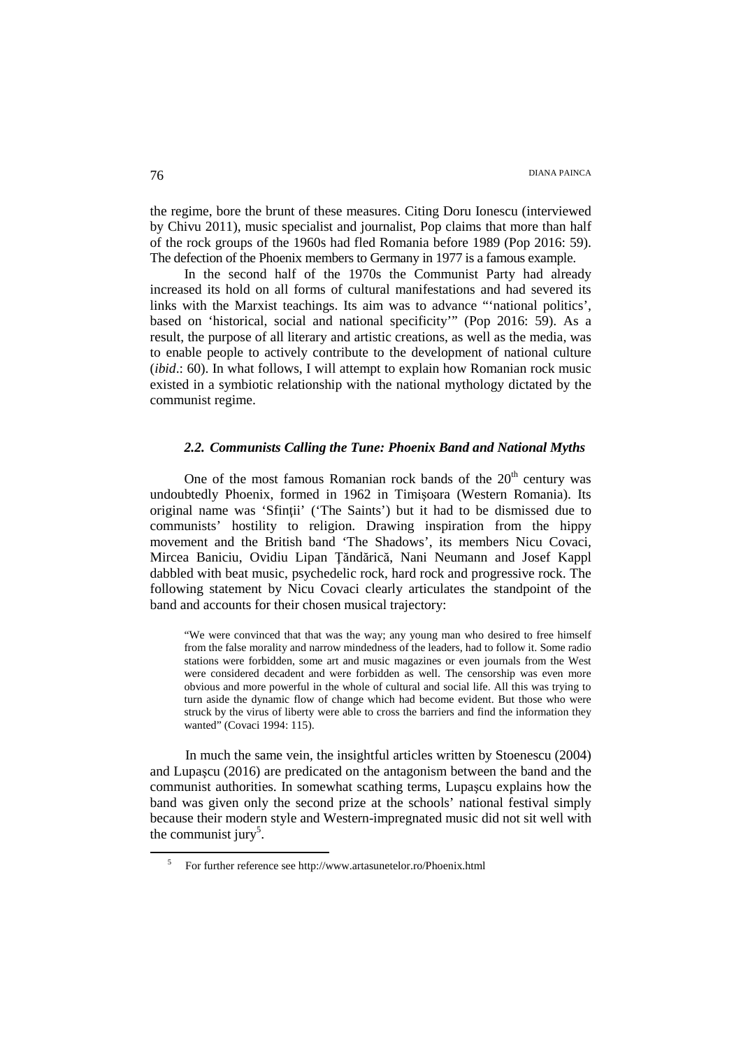the regime, bore the brunt of these measures. Citing Doru Ionescu (interviewed by Chivu 2011), music specialist and journalist, Pop claims that more than half of the rock groups of the 1960s had fled Romania before 1989 (Pop 2016: 59). The defection of the Phoenix members to Germany in 1977 is a famous example.

In the second half of the 1970s the Communist Party had already increased its hold on all forms of cultural manifestations and had severed its links with the Marxist teachings. Its aim was to advance "'national politics', based on 'historical, social and national specificity'" (Pop 2016: 59). As a result, the purpose of all literary and artistic creations, as well as the media, was to enable people to actively contribute to the development of national culture (*ibid*.: 60). In what follows, I will attempt to explain how Romanian rock music existed in a symbiotic relationship with the national mythology dictated by the communist regime.

### *2.2. Communists Calling the Tune: Phoenix Band and National Myths*

One of the most famous Romanian rock bands of the  $20<sup>th</sup>$  century was undoubtedly Phoenix, formed in 1962 in Timişoara (Western Romania). Its original name was 'Sfinţii' ('The Saints') but it had to be dismissed due to communists' hostility to religion. Drawing inspiration from the hippy movement and the British band 'The Shadows', its members Nicu Covaci, Mircea Baniciu, Ovidiu Lipan Ţăndărică, Nani Neumann and Josef Kappl dabbled with beat music, psychedelic rock, hard rock and progressive rock. The following statement by Nicu Covaci clearly articulates the standpoint of the band and accounts for their chosen musical trajectory:

"We were convinced that that was the way; any young man who desired to free himself from the false morality and narrow mindedness of the leaders, had to follow it. Some radio stations were forbidden, some art and music magazines or even journals from the West were considered decadent and were forbidden as well. The censorship was even more obvious and more powerful in the whole of cultural and social life. All this was trying to turn aside the dynamic flow of change which had become evident. But those who were struck by the virus of liberty were able to cross the barriers and find the information they wanted" (Covaci 1994: 115).

In much the same vein, the insightful articles written by Stoenescu (2004) and Lupaşcu (2016) are predicated on the antagonism between the band and the communist authorities. In somewhat scathing terms, Lupaşcu explains how the band was given only the second prize at the schools' national festival simply because their modern style and Western-impregnated music did not sit well with the communist jury<sup>5</sup>.

 $\overline{a}$ 

<sup>5</sup> For further reference see http://www.artasunetelor.ro/Phoenix.html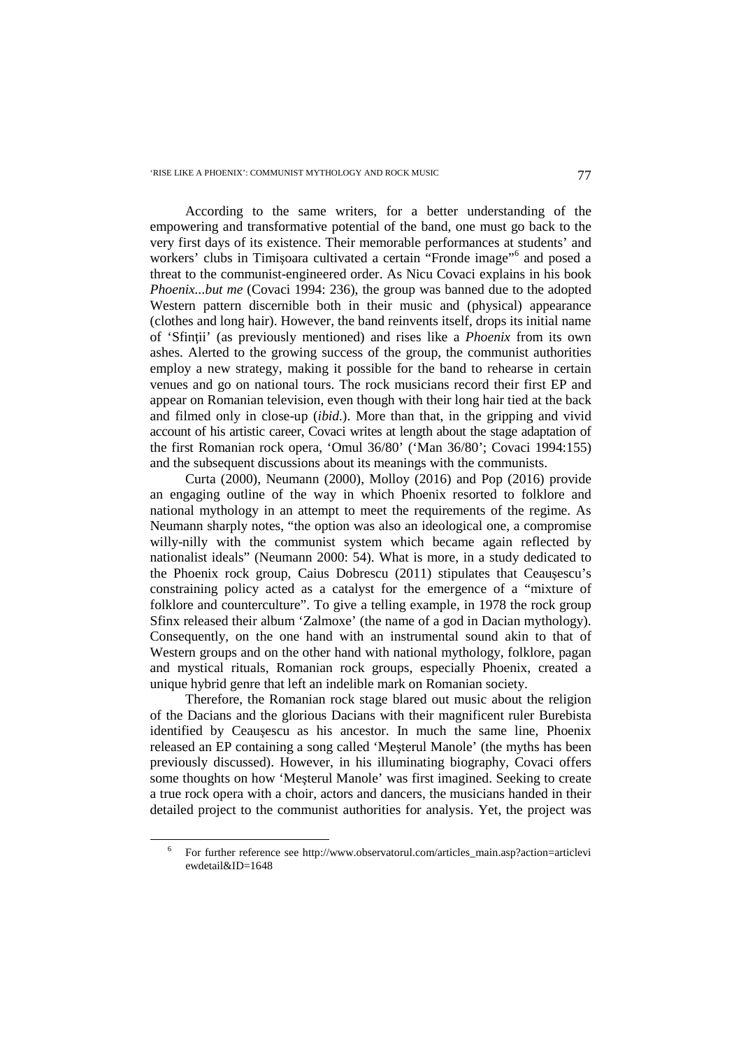According to the same writers, for a better understanding of the empowering and transformative potential of the band, one must go back to the very first days of its existence. Their memorable performances at students' and workers' clubs in Timișoara cultivated a certain "Fronde image"<sup>6</sup> and posed a threat to the communist-engineered order. As Nicu Covaci explains in his book *Phoenix...but me* (Covaci 1994: 236), the group was banned due to the adopted Western pattern discernible both in their music and (physical) appearance (clothes and long hair). However, the band reinvents itself, drops its initial name of 'Sfinţii' (as previously mentioned) and rises like a *Phoenix* from its own ashes. Alerted to the growing success of the group, the communist authorities employ a new strategy, making it possible for the band to rehearse in certain venues and go on national tours. The rock musicians record their first EP and appear on Romanian television, even though with their long hair tied at the back and filmed only in close-up (*ibid.*). More than that, in the gripping and vivid account of his artistic career, Covaci writes at length about the stage adaptation of the first Romanian rock opera, 'Omul 36/80' ('Man 36/80'; Covaci 1994:155) and the subsequent discussions about its meanings with the communists.

Curta (2000), Neumann (2000), Molloy (2016) and Pop (2016) provide an engaging outline of the way in which Phoenix resorted to folklore and national mythology in an attempt to meet the requirements of the regime. As Neumann sharply notes, "the option was also an ideological one, a compromise willy-nilly with the communist system which became again reflected by nationalist ideals" (Neumann 2000: 54). What is more, in a study dedicated to the Phoenix rock group, Caius Dobrescu (2011) stipulates that Ceauşescu's constraining policy acted as a catalyst for the emergence of a "mixture of folklore and counterculture". To give a telling example, in 1978 the rock group Sfinx released their album 'Zalmoxe' (the name of a god in Dacian mythology). Consequently, on the one hand with an instrumental sound akin to that of Western groups and on the other hand with national mythology, folklore, pagan and mystical rituals, Romanian rock groups, especially Phoenix, created a unique hybrid genre that left an indelible mark on Romanian society.

Therefore, the Romanian rock stage blared out music about the religion of the Dacians and the glorious Dacians with their magnificent ruler Burebista identified by Ceauşescu as his ancestor. In much the same line, Phoenix released an EP containing a song called 'Meşterul Manole' (the myths has been previously discussed). However, in his illuminating biography, Covaci offers some thoughts on how 'Meşterul Manole' was first imagined. Seeking to create a true rock opera with a choir, actors and dancers, the musicians handed in their detailed project to the communist authorities for analysis. Yet, the project was

 $\overline{a}$ 

<sup>6</sup> For further reference see http://www.observatorul.com/articles\_main.asp?action=articlevi ewdetail&ID=1648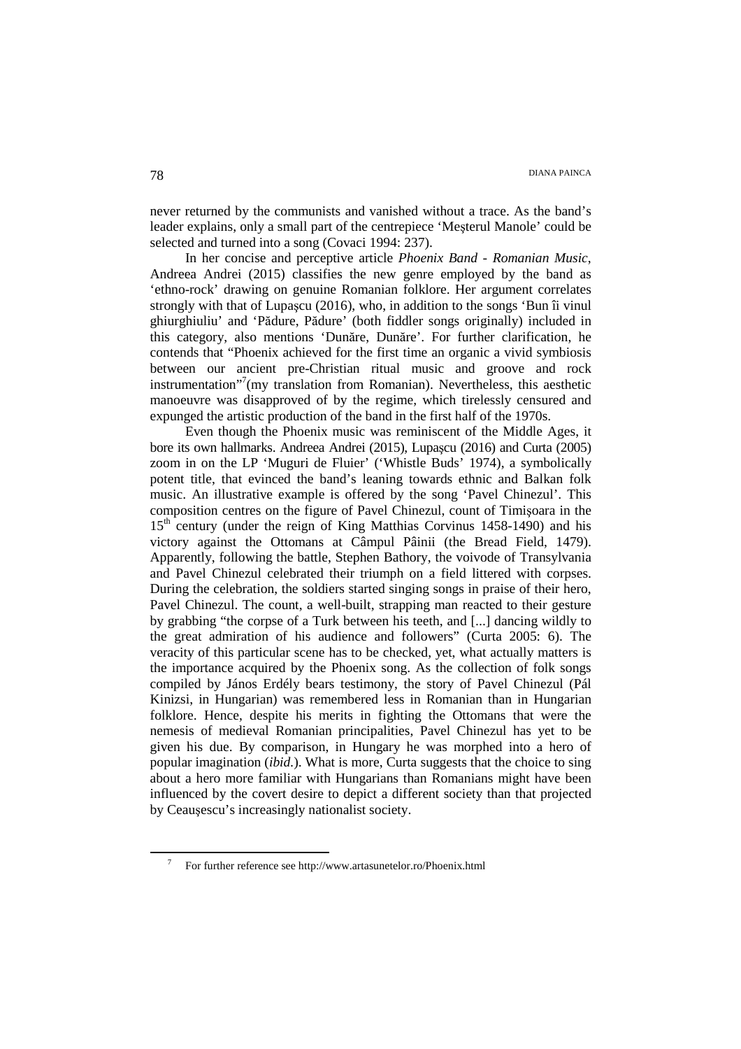never returned by the communists and vanished without a trace. As the band's leader explains, only a small part of the centrepiece 'Meşterul Manole' could be selected and turned into a song (Covaci 1994: 237).

In her concise and perceptive article *Phoenix Band - Romanian Music*, Andreea Andrei (2015) classifies the new genre employed by the band as 'ethno-rock' drawing on genuine Romanian folklore. Her argument correlates strongly with that of Lupaşcu (2016), who, in addition to the songs 'Bun îi vinul ghiurghiuliu' and 'Pădure, Pădure' (both fiddler songs originally) included in this category, also mentions 'Dunăre, Dunăre'. For further clarification, he contends that "Phoenix achieved for the first time an organic a vivid symbiosis between our ancient pre-Christian ritual music and groove and rock instrumentation"<sup>7</sup>(my translation from Romanian). Nevertheless, this aesthetic manoeuvre was disapproved of by the regime, which tirelessly censured and expunged the artistic production of the band in the first half of the 1970s.

Even though the Phoenix music was reminiscent of the Middle Ages, it bore its own hallmarks. Andreea Andrei (2015), Lupaşcu (2016) and Curta (2005) zoom in on the LP 'Muguri de Fluier' ('Whistle Buds' 1974), a symbolically potent title, that evinced the band's leaning towards ethnic and Balkan folk music. An illustrative example is offered by the song 'Pavel Chinezul'. This composition centres on the figure of Pavel Chinezul, count of Timişoara in the  $15<sup>th</sup>$  century (under the reign of King Matthias Corvinus 1458-1490) and his victory against the Ottomans at Câmpul Pâinii (the Bread Field, 1479). Apparently, following the battle, Stephen Bathory, the voivode of Transylvania and Pavel Chinezul celebrated their triumph on a field littered with corpses. During the celebration, the soldiers started singing songs in praise of their hero, Pavel Chinezul. The count, a well-built, strapping man reacted to their gesture by grabbing "the corpse of a Turk between his teeth, and [...] dancing wildly to the great admiration of his audience and followers" (Curta 2005: 6). The veracity of this particular scene has to be checked, yet, what actually matters is the importance acquired by the Phoenix song. As the collection of folk songs compiled by János Erdély bears testimony, the story of Pavel Chinezul (Pál Kinizsi, in Hungarian) was remembered less in Romanian than in Hungarian folklore. Hence, despite his merits in fighting the Ottomans that were the nemesis of medieval Romanian principalities, Pavel Chinezul has yet to be given his due. By comparison, in Hungary he was morphed into a hero of popular imagination (*ibid.*). What is more, Curta suggests that the choice to sing about a hero more familiar with Hungarians than Romanians might have been influenced by the covert desire to depict a different society than that projected by Ceauşescu's increasingly nationalist society.

 $\overline{a}$ 

<sup>7</sup> For further reference see http://www.artasunetelor.ro/Phoenix.html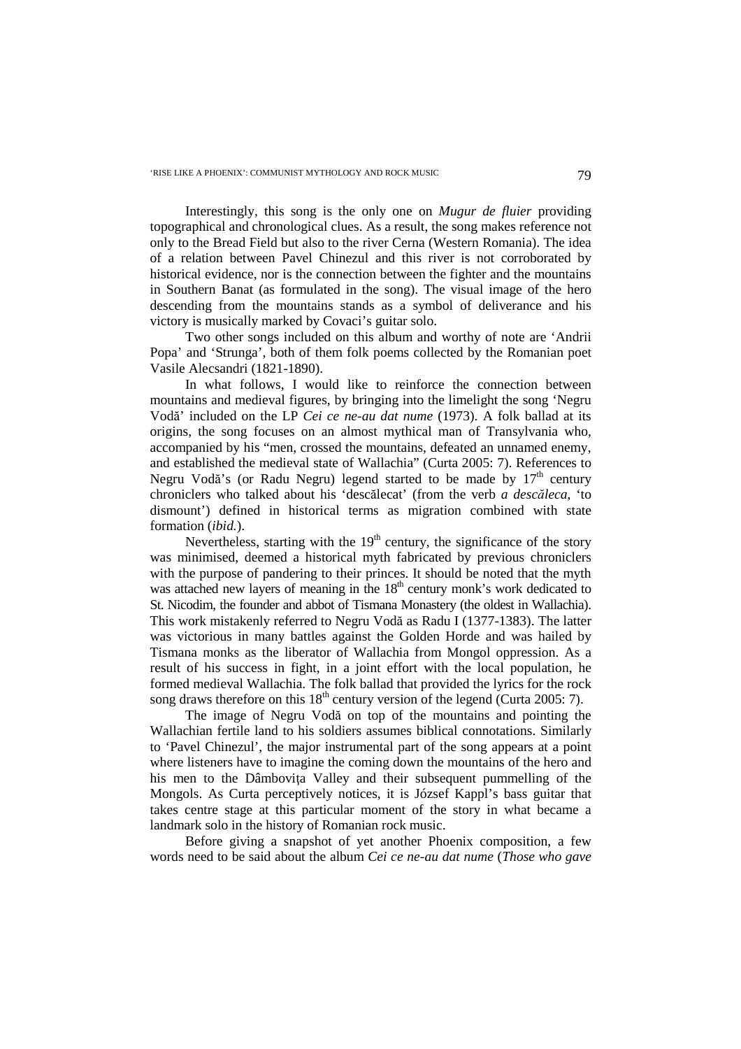Interestingly, this song is the only one on *Mugur de fluier* providing topographical and chronological clues. As a result, the song makes reference not only to the Bread Field but also to the river Cerna (Western Romania). The idea of a relation between Pavel Chinezul and this river is not corroborated by historical evidence, nor is the connection between the fighter and the mountains in Southern Banat (as formulated in the song). The visual image of the hero descending from the mountains stands as a symbol of deliverance and his victory is musically marked by Covaci's guitar solo.

Two other songs included on this album and worthy of note are 'Andrii Popa' and 'Strunga', both of them folk poems collected by the Romanian poet Vasile Alecsandri (1821-1890).

In what follows, I would like to reinforce the connection between mountains and medieval figures, by bringing into the limelight the song 'Negru Vodă' included on the LP *Cei ce ne-au dat nume* (1973). A folk ballad at its origins, the song focuses on an almost mythical man of Transylvania who, accompanied by his "men, crossed the mountains, defeated an unnamed enemy, and established the medieval state of Wallachia" (Curta 2005: 7). References to Negru Vodă's (or Radu Negru) legend started to be made by  $17<sup>th</sup>$  century chroniclers who talked about his 'descălecat' (from the verb *a descăleca*, 'to dismount') defined in historical terms as migration combined with state formation (*ibid.*).

Nevertheless, starting with the  $19<sup>th</sup>$  century, the significance of the story was minimised, deemed a historical myth fabricated by previous chroniclers with the purpose of pandering to their princes. It should be noted that the myth was attached new layers of meaning in the  $18<sup>th</sup>$  century monk's work dedicated to St. Nicodim, the founder and abbot of Tismana Monastery (the oldest in Wallachia). This work mistakenly referred to Negru Vodă as Radu I (1377-1383). The latter was victorious in many battles against the Golden Horde and was hailed by Tismana monks as the liberator of Wallachia from Mongol oppression. As a result of his success in fight, in a joint effort with the local population, he formed medieval Wallachia. The folk ballad that provided the lyrics for the rock song draws therefore on this  $18<sup>th</sup>$  century version of the legend (Curta 2005: 7).

The image of Negru Vodă on top of the mountains and pointing the Wallachian fertile land to his soldiers assumes biblical connotations. Similarly to 'Pavel Chinezul', the major instrumental part of the song appears at a point where listeners have to imagine the coming down the mountains of the hero and his men to the Dâmboviţa Valley and their subsequent pummelling of the Mongols. As Curta perceptively notices, it is József Kappl's bass guitar that takes centre stage at this particular moment of the story in what became a landmark solo in the history of Romanian rock music.

Before giving a snapshot of yet another Phoenix composition, a few words need to be said about the album *Cei ce ne-au dat nume* (*Those who gave*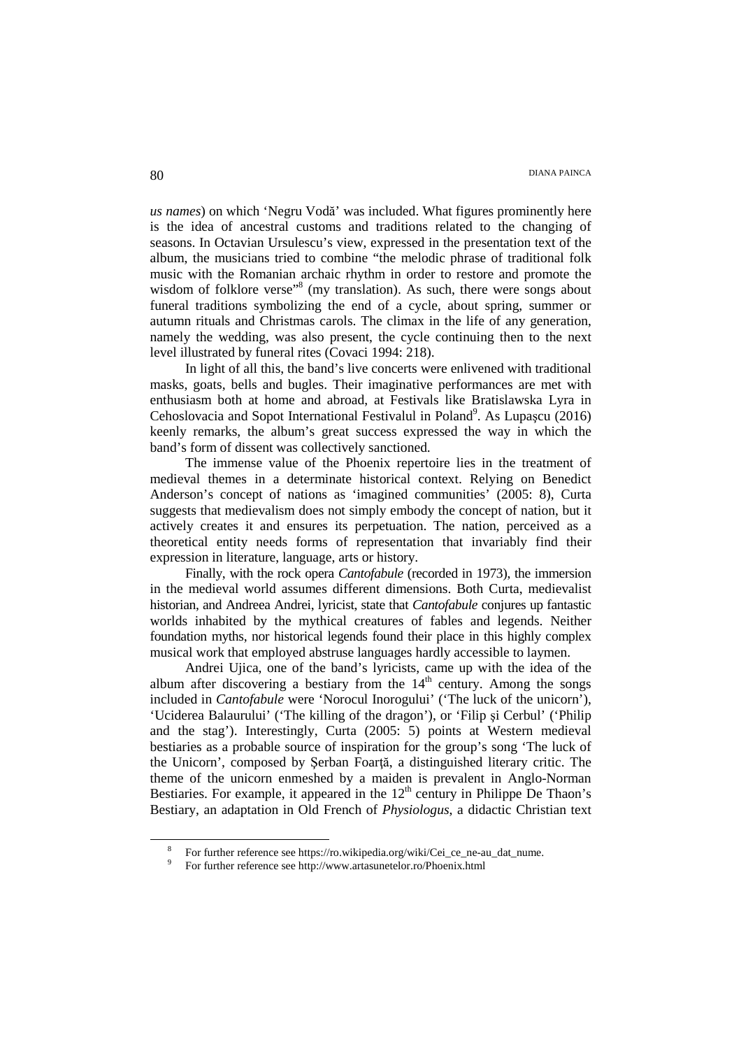*us names*) on which 'Negru Vodă' was included. What figures prominently here is the idea of ancestral customs and traditions related to the changing of seasons. In Octavian Ursulescu's view, expressed in the presentation text of the album, the musicians tried to combine "the melodic phrase of traditional folk music with the Romanian archaic rhythm in order to restore and promote the wisdom of folklore verse"<sup>8</sup> (my translation). As such, there were songs about funeral traditions symbolizing the end of a cycle, about spring, summer or autumn rituals and Christmas carols. The climax in the life of any generation, namely the wedding, was also present, the cycle continuing then to the next level illustrated by funeral rites (Covaci 1994: 218).

In light of all this, the band's live concerts were enlivened with traditional masks, goats, bells and bugles. Their imaginative performances are met with enthusiasm both at home and abroad, at Festivals like Bratislawska Lyra in Cehoslovacia and Sopot International Festivalul in Poland<sup>9</sup>. As Lupașcu (2016) keenly remarks, the album's great success expressed the way in which the band's form of dissent was collectively sanctioned.

The immense value of the Phoenix repertoire lies in the treatment of medieval themes in a determinate historical context. Relying on Benedict Anderson's concept of nations as 'imagined communities' (2005: 8), Curta suggests that medievalism does not simply embody the concept of nation, but it actively creates it and ensures its perpetuation. The nation, perceived as a theoretical entity needs forms of representation that invariably find their expression in literature, language, arts or history.

Finally, with the rock opera *Cantofabule* (recorded in 1973), the immersion in the medieval world assumes different dimensions. Both Curta, medievalist historian, and Andreea Andrei, lyricist, state that *Cantofabule* conjures up fantastic worlds inhabited by the mythical creatures of fables and legends. Neither foundation myths, nor historical legends found their place in this highly complex musical work that employed abstruse languages hardly accessible to laymen.

Andrei Ujica, one of the band's lyricists, came up with the idea of the album after discovering a bestiary from the  $14<sup>th</sup>$  century. Among the songs included in *Cantofabule* were 'Norocul Inorogului' ('The luck of the unicorn'), 'Uciderea Balaurului' ('The killing of the dragon'), or 'Filip şi Cerbul' ('Philip and the stag'). Interestingly, Curta (2005: 5) points at Western medieval bestiaries as a probable source of inspiration for the group's song 'The luck of the Unicorn', composed by Serban Foartă, a distinguished literary critic. The theme of the unicorn enmeshed by a maiden is prevalent in Anglo-Norman Bestiaries. For example, it appeared in the  $12<sup>th</sup>$  century in Philippe De Thaon's Bestiary, an adaptation in Old French of *Physiologus*, a didactic Christian text

l

<sup>8</sup> For further reference see https://ro.wikipedia.org/wiki/Cei ce ne-au dat nume.

<sup>9</sup> For further reference see http://www.artasunetelor.ro/Phoenix.html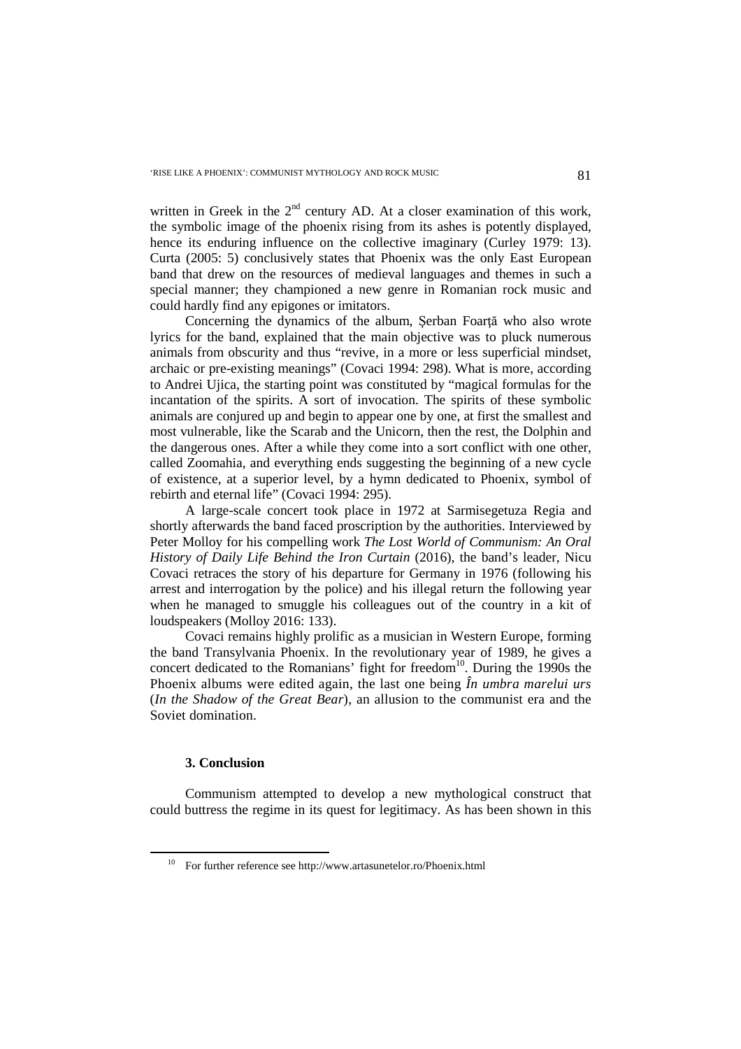written in Greek in the  $2<sup>nd</sup>$  century AD. At a closer examination of this work, the symbolic image of the phoenix rising from its ashes is potently displayed, hence its enduring influence on the collective imaginary (Curley 1979: 13). Curta (2005: 5) conclusively states that Phoenix was the only East European band that drew on the resources of medieval languages and themes in such a special manner; they championed a new genre in Romanian rock music and could hardly find any epigones or imitators.

Concerning the dynamics of the album, Serban Foartă who also wrote lyrics for the band, explained that the main objective was to pluck numerous animals from obscurity and thus "revive, in a more or less superficial mindset, archaic or pre-existing meanings" (Covaci 1994: 298). What is more, according to Andrei Ujica, the starting point was constituted by "magical formulas for the incantation of the spirits. A sort of invocation. The spirits of these symbolic animals are conjured up and begin to appear one by one, at first the smallest and most vulnerable, like the Scarab and the Unicorn, then the rest, the Dolphin and the dangerous ones. After a while they come into a sort conflict with one other, called Zoomahia, and everything ends suggesting the beginning of a new cycle of existence, at a superior level, by a hymn dedicated to Phoenix, symbol of rebirth and eternal life" (Covaci 1994: 295).

A large-scale concert took place in 1972 at Sarmisegetuza Regia and shortly afterwards the band faced proscription by the authorities. Interviewed by Peter Molloy for his compelling work *The Lost World of Communism: An Oral History of Daily Life Behind the Iron Curtain* (2016), the band's leader, Nicu Covaci retraces the story of his departure for Germany in 1976 (following his arrest and interrogation by the police) and his illegal return the following year when he managed to smuggle his colleagues out of the country in a kit of loudspeakers (Molloy 2016: 133).

Covaci remains highly prolific as a musician in Western Europe, forming the band Transylvania Phoenix. In the revolutionary year of 1989, he gives a concert dedicated to the Romanians' fight for freedom<sup>10</sup>. During the 1990s the Phoenix albums were edited again, the last one being *În umbra marelui urs*  (*In the Shadow of the Great Bear*), an allusion to the communist era and the Soviet domination.

# **3. Conclusion**

 $\overline{a}$ 

Communism attempted to develop a new mythological construct that could buttress the regime in its quest for legitimacy. As has been shown in this

 $10$  For further reference see http://www.artasunetelor.ro/Phoenix.html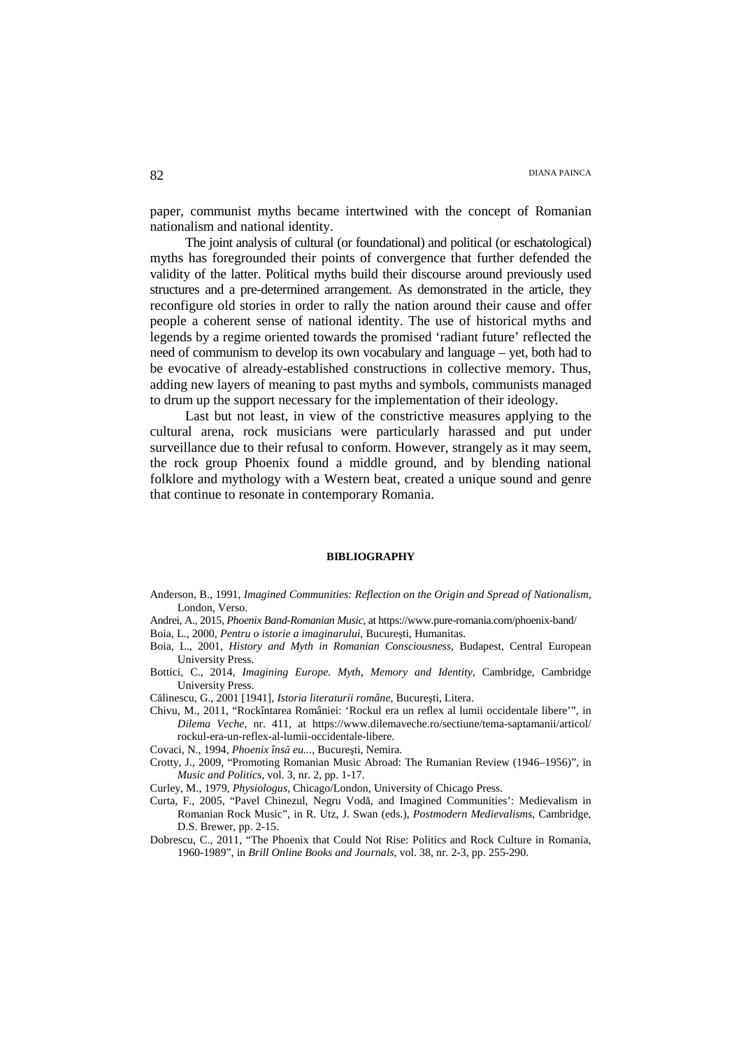paper, communist myths became intertwined with the concept of Romanian nationalism and national identity.

The joint analysis of cultural (or foundational) and political (or eschatological) myths has foregrounded their points of convergence that further defended the validity of the latter. Political myths build their discourse around previously used structures and a pre-determined arrangement. As demonstrated in the article, they reconfigure old stories in order to rally the nation around their cause and offer people a coherent sense of national identity. The use of historical myths and legends by a regime oriented towards the promised 'radiant future' reflected the need of communism to develop its own vocabulary and language – yet, both had to be evocative of already-established constructions in collective memory. Thus, adding new layers of meaning to past myths and symbols, communists managed to drum up the support necessary for the implementation of their ideology.

Last but not least, in view of the constrictive measures applying to the cultural arena, rock musicians were particularly harassed and put under surveillance due to their refusal to conform. However, strangely as it may seem, the rock group Phoenix found a middle ground, and by blending national folklore and mythology with a Western beat, created a unique sound and genre that continue to resonate in contemporary Romania.

### **BIBLIOGRAPHY**

- Anderson, B., 1991, *Imagined Communities: Reflection on the Origin and Spread of Nationalism,*  London, Verso.
- Andrei, A., 2015, *Phoenix Band-Romanian Music*, at https://www.pure-romania.com/phoenix-band/
- Boia, L., 2000, *Pentru o istorie a imaginarului*, Bucureşti, Humanitas.
- Boia, L., 2001, *History and Myth in Romanian Consciousness*, Budapest, Central European University Press.
- Bottici, C., 2014, *Imagining Europe. Myth, Memory and Identity*, Cambridge, Cambridge University Press.
- Călinescu, G., 2001 [1941], *Istoria literaturii române*, Bucureşti, Litera.
- Chivu, M., 2011, "Rockîntarea României: 'Rockul era un reflex al lumii occidentale libere'", in *Dilema Veche*, nr. 411, at https://www.dilemaveche.ro/sectiune/tema-saptamanii/articol/ rockul-era-un-reflex-al-lumii-occidentale-libere.
- Covaci, N., 1994, *Phoenix însă eu...,* Bucureşti, Nemira.
- Crotty, J., 2009, "Promoting Romanian Music Abroad: The Rumanian Review (1946–1956)", in *Music and Politics*, vol. 3, nr. 2, pp. 1-17.
- Curley, M., 1979, *Physiologus,* Chicago/London, University of Chicago Press.
- Curta, F., 2005, "Pavel Chinezul, Negru Vodă, and Imagined Communities': Medievalism in Romanian Rock Music", in R. Utz, J. Swan (eds.), *Postmodern Medievalisms*, Cambridge, D.S. Brewer, pp. 2-15.
- Dobrescu, C., 2011, "The Phoenix that Could Not Rise: Politics and Rock Culture in Romania, 1960-1989", in *Brill Online Books and Journals,* vol. 38, nr. 2-3, pp. 255-290.